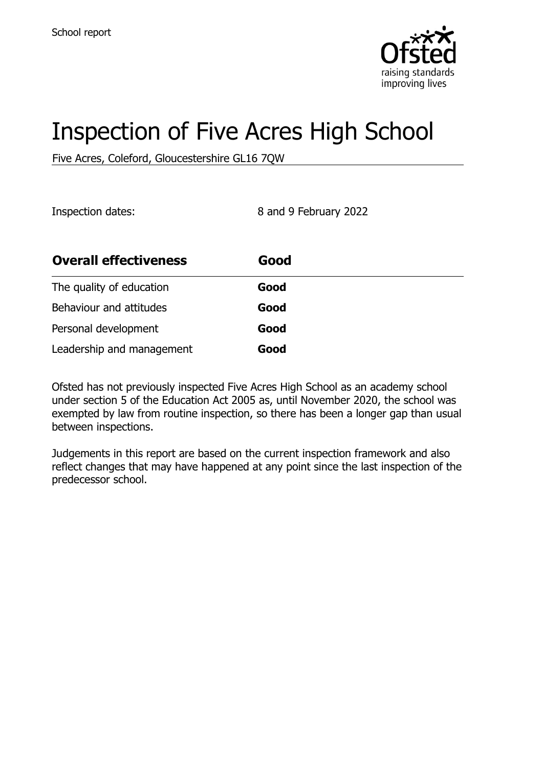

# Inspection of Five Acres High School

Five Acres, Coleford, Gloucestershire GL16 7QW

Inspection dates: 8 and 9 February 2022

| <b>Overall effectiveness</b> | Good |
|------------------------------|------|
| The quality of education     | Good |
| Behaviour and attitudes      | Good |
| Personal development         | Good |
| Leadership and management    | Good |

Ofsted has not previously inspected Five Acres High School as an academy school under section 5 of the Education Act 2005 as, until November 2020, the school was exempted by law from routine inspection, so there has been a longer gap than usual between inspections.

Judgements in this report are based on the current inspection framework and also reflect changes that may have happened at any point since the last inspection of the predecessor school.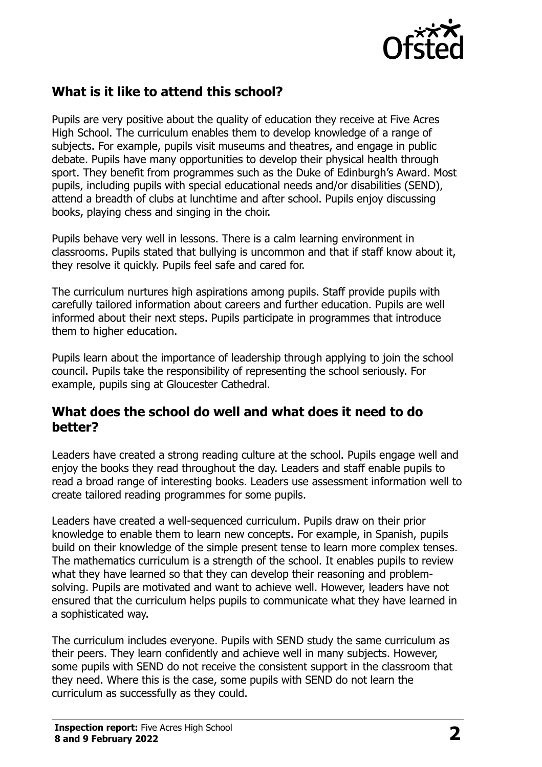

## **What is it like to attend this school?**

Pupils are very positive about the quality of education they receive at Five Acres High School. The curriculum enables them to develop knowledge of a range of subjects. For example, pupils visit museums and theatres, and engage in public debate. Pupils have many opportunities to develop their physical health through sport. They benefit from programmes such as the Duke of Edinburgh's Award. Most pupils, including pupils with special educational needs and/or disabilities (SEND), attend a breadth of clubs at lunchtime and after school. Pupils enjoy discussing books, playing chess and singing in the choir.

Pupils behave very well in lessons. There is a calm learning environment in classrooms. Pupils stated that bullying is uncommon and that if staff know about it, they resolve it quickly. Pupils feel safe and cared for.

The curriculum nurtures high aspirations among pupils. Staff provide pupils with carefully tailored information about careers and further education. Pupils are well informed about their next steps. Pupils participate in programmes that introduce them to higher education.

Pupils learn about the importance of leadership through applying to join the school council. Pupils take the responsibility of representing the school seriously. For example, pupils sing at Gloucester Cathedral.

#### **What does the school do well and what does it need to do better?**

Leaders have created a strong reading culture at the school. Pupils engage well and enjoy the books they read throughout the day. Leaders and staff enable pupils to read a broad range of interesting books. Leaders use assessment information well to create tailored reading programmes for some pupils.

Leaders have created a well-sequenced curriculum. Pupils draw on their prior knowledge to enable them to learn new concepts. For example, in Spanish, pupils build on their knowledge of the simple present tense to learn more complex tenses. The mathematics curriculum is a strength of the school. It enables pupils to review what they have learned so that they can develop their reasoning and problemsolving. Pupils are motivated and want to achieve well. However, leaders have not ensured that the curriculum helps pupils to communicate what they have learned in a sophisticated way.

The curriculum includes everyone. Pupils with SEND study the same curriculum as their peers. They learn confidently and achieve well in many subjects. However, some pupils with SEND do not receive the consistent support in the classroom that they need. Where this is the case, some pupils with SEND do not learn the curriculum as successfully as they could.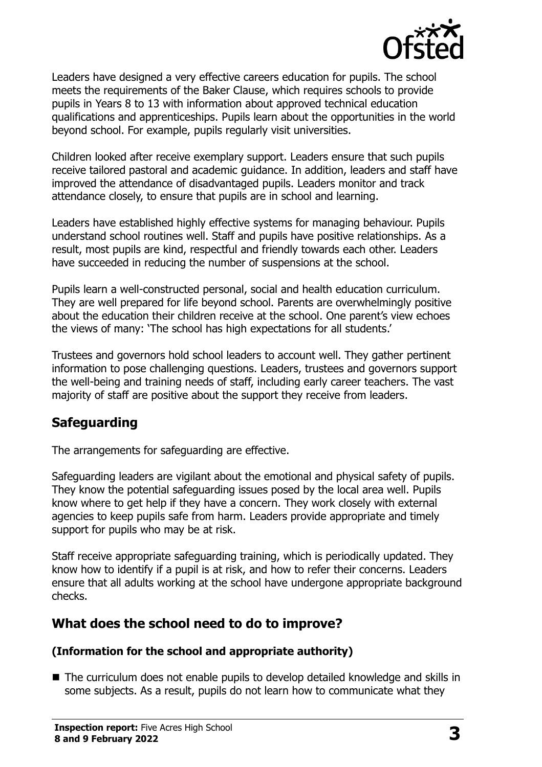

Leaders have designed a very effective careers education for pupils. The school meets the requirements of the Baker Clause, which requires schools to provide pupils in Years 8 to 13 with information about approved technical education qualifications and apprenticeships. Pupils learn about the opportunities in the world beyond school. For example, pupils regularly visit universities.

Children looked after receive exemplary support. Leaders ensure that such pupils receive tailored pastoral and academic guidance. In addition, leaders and staff have improved the attendance of disadvantaged pupils. Leaders monitor and track attendance closely, to ensure that pupils are in school and learning.

Leaders have established highly effective systems for managing behaviour. Pupils understand school routines well. Staff and pupils have positive relationships. As a result, most pupils are kind, respectful and friendly towards each other. Leaders have succeeded in reducing the number of suspensions at the school.

Pupils learn a well-constructed personal, social and health education curriculum. They are well prepared for life beyond school. Parents are overwhelmingly positive about the education their children receive at the school. One parent's view echoes the views of many: 'The school has high expectations for all students.'

Trustees and governors hold school leaders to account well. They gather pertinent information to pose challenging questions. Leaders, trustees and governors support the well-being and training needs of staff, including early career teachers. The vast majority of staff are positive about the support they receive from leaders.

## **Safeguarding**

The arrangements for safeguarding are effective.

Safeguarding leaders are vigilant about the emotional and physical safety of pupils. They know the potential safeguarding issues posed by the local area well. Pupils know where to get help if they have a concern. They work closely with external agencies to keep pupils safe from harm. Leaders provide appropriate and timely support for pupils who may be at risk.

Staff receive appropriate safeguarding training, which is periodically updated. They know how to identify if a pupil is at risk, and how to refer their concerns. Leaders ensure that all adults working at the school have undergone appropriate background checks.

## **What does the school need to do to improve?**

#### **(Information for the school and appropriate authority)**

■ The curriculum does not enable pupils to develop detailed knowledge and skills in some subjects. As a result, pupils do not learn how to communicate what they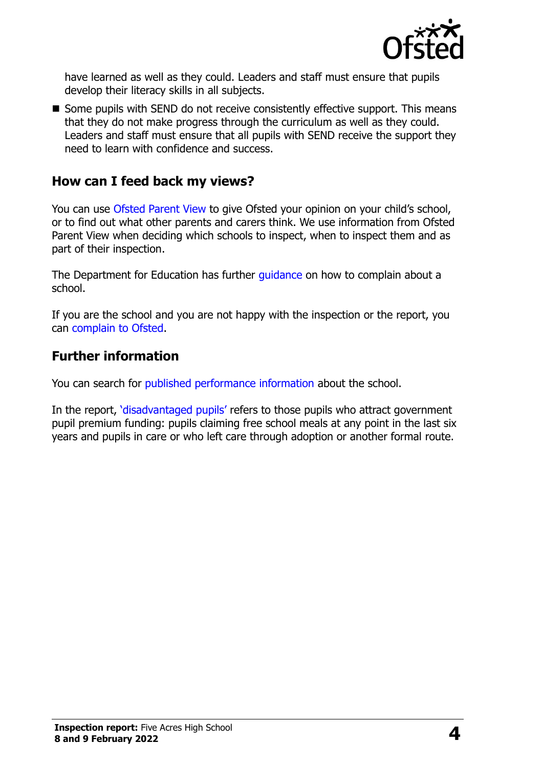

have learned as well as they could. Leaders and staff must ensure that pupils develop their literacy skills in all subjects.

■ Some pupils with SEND do not receive consistently effective support. This means that they do not make progress through the curriculum as well as they could. Leaders and staff must ensure that all pupils with SEND receive the support they need to learn with confidence and success.

### **How can I feed back my views?**

You can use [Ofsted Parent View](http://parentview.ofsted.gov.uk/) to give Ofsted your opinion on your child's school, or to find out what other parents and carers think. We use information from Ofsted Parent View when deciding which schools to inspect, when to inspect them and as part of their inspection.

The Department for Education has further quidance on how to complain about a school.

If you are the school and you are not happy with the inspection or the report, you can [complain to Ofsted.](http://www.gov.uk/complain-ofsted-report)

#### **Further information**

You can search for [published performance information](http://www.compare-school-performance.service.gov.uk/) about the school.

In the report, '[disadvantaged pupils](http://www.gov.uk/guidance/pupil-premium-information-for-schools-and-alternative-provision-settings)' refers to those pupils who attract government pupil premium funding: pupils claiming free school meals at any point in the last six years and pupils in care or who left care through adoption or another formal route.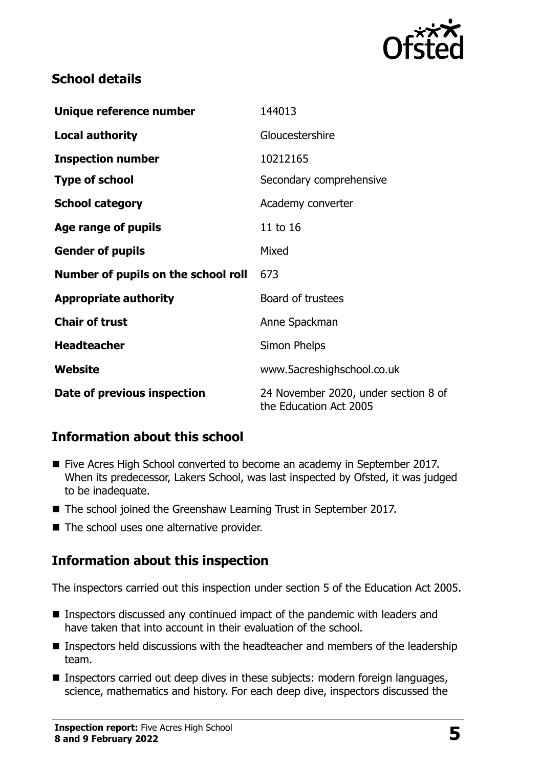

## **School details**

| Unique reference number             | 144013                                                         |  |
|-------------------------------------|----------------------------------------------------------------|--|
| <b>Local authority</b>              | Gloucestershire                                                |  |
| <b>Inspection number</b>            | 10212165                                                       |  |
| <b>Type of school</b>               | Secondary comprehensive                                        |  |
| <b>School category</b>              | Academy converter                                              |  |
| Age range of pupils                 | 11 to 16                                                       |  |
| <b>Gender of pupils</b>             | Mixed                                                          |  |
| Number of pupils on the school roll | 673                                                            |  |
| <b>Appropriate authority</b>        | Board of trustees                                              |  |
| <b>Chair of trust</b>               | Anne Spackman                                                  |  |
| <b>Headteacher</b>                  | Simon Phelps                                                   |  |
| Website                             | www.5acreshighschool.co.uk                                     |  |
| Date of previous inspection         | 24 November 2020, under section 8 of<br>the Education Act 2005 |  |

## **Information about this school**

- Five Acres High School converted to become an academy in September 2017. When its predecessor, Lakers School, was last inspected by Ofsted, it was judged to be inadequate.
- The school joined the Greenshaw Learning Trust in September 2017.
- The school uses one alternative provider.

## **Information about this inspection**

The inspectors carried out this inspection under section 5 of the Education Act 2005.

- Inspectors discussed any continued impact of the pandemic with leaders and have taken that into account in their evaluation of the school.
- **Inspectors held discussions with the headteacher and members of the leadership** team.
- Inspectors carried out deep dives in these subjects: modern foreign languages, science, mathematics and history. For each deep dive, inspectors discussed the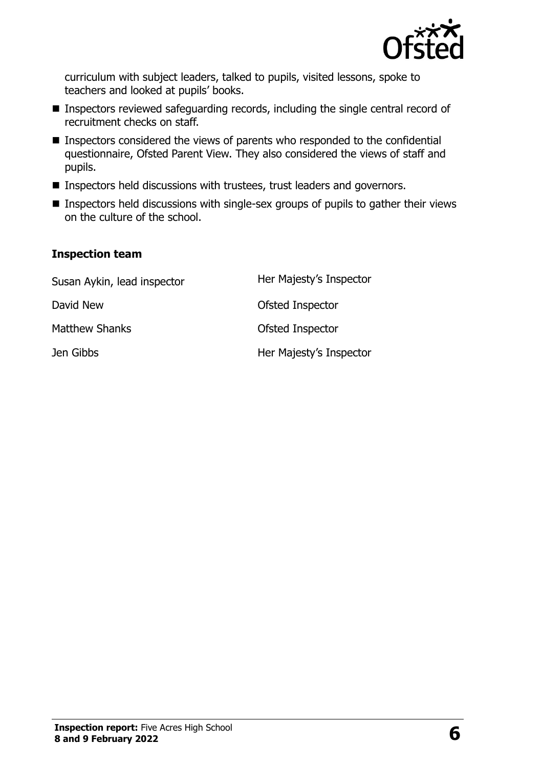

curriculum with subject leaders, talked to pupils, visited lessons, spoke to teachers and looked at pupils' books.

- **Inspectors reviewed safeguarding records, including the single central record of** recruitment checks on staff.
- **Inspectors considered the views of parents who responded to the confidential** questionnaire, Ofsted Parent View. They also considered the views of staff and pupils.
- **Inspectors held discussions with trustees, trust leaders and governors.**
- **Inspectors held discussions with single-sex groups of pupils to gather their views** on the culture of the school.

#### **Inspection team**

| Susan Aykin, lead inspector | Her Majesty's Inspector |
|-----------------------------|-------------------------|
| David New                   | Ofsted Inspector        |
| Matthew Shanks              | Ofsted Inspector        |
| Jen Gibbs                   | Her Majesty's Inspector |